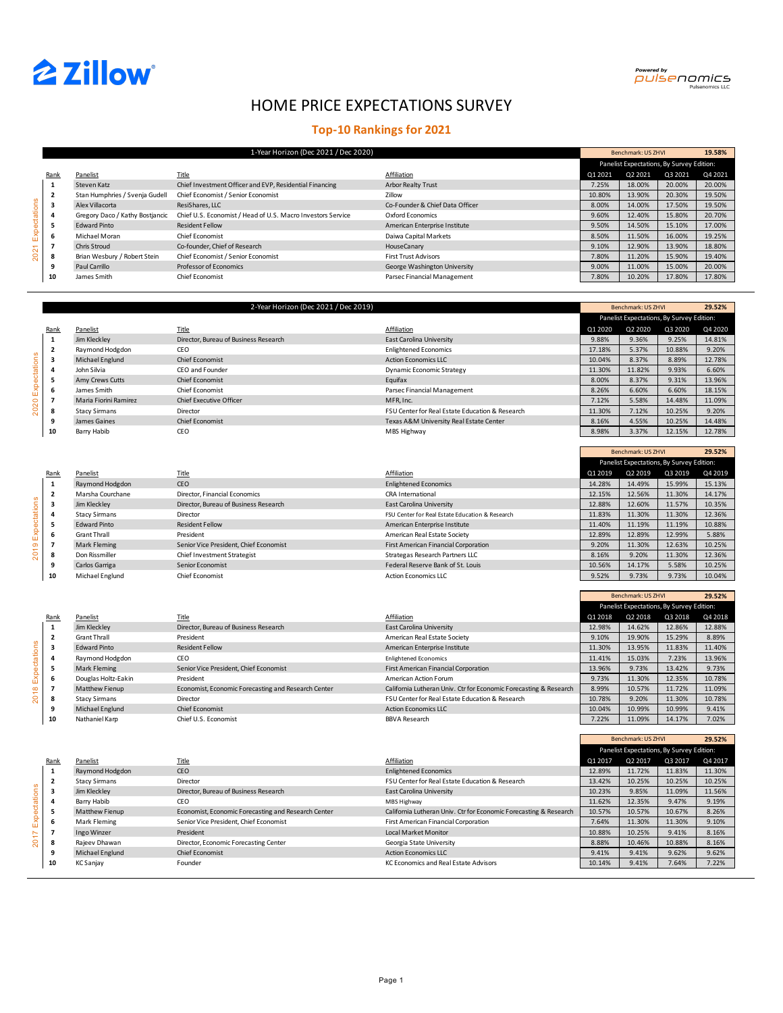



**29.52%**

Benchmark: US ZHVI

Г

# HOME PRICE EXPECTATIONS SURVEY

## **Top-10 Rankings for 2021**

|              |             |                                 | 1-Year Horizon (Dec 2021 / Dec 2020)                        |                                 |         | Benchmark: US ZHVI                        |         | 19.58%  |
|--------------|-------------|---------------------------------|-------------------------------------------------------------|---------------------------------|---------|-------------------------------------------|---------|---------|
|              |             |                                 |                                                             |                                 |         | Panelist Expectations, By Survey Edition: |         |         |
|              | <b>Rank</b> | Panelist                        | <b>Title</b>                                                | Affiliation                     | Q1 2021 | Q2 2021                                   | Q3 2021 | Q4 2021 |
|              | 1           | Steven Katz                     | Chief Investment Officer and EVP, Residential Financing     | <b>Arbor Realty Trust</b>       | 7.25%   | 18.00%                                    | 20.00%  | 20.00%  |
|              |             | Stan Humphries / Svenja Gudell  | Chief Economist / Senior Economist                          | Zillow                          | 10.80%  | 13.90%                                    | 20.30%  | 19.50%  |
|              | 3           | Alex Villacorta                 | ResiShares, LLC                                             | Co-Founder & Chief Data Officer | 8.00%   | 14.00%                                    | 17.50%  | 19.50%  |
| Expectations |             | Gregory Daco / Kathy Bostjancic | Chief U.S. Economist / Head of U.S. Macro Investors Service | Oxford Economics                | 9.60%   | 12.40%                                    | 15.80%  | 20.70%  |
|              |             | <b>Edward Pinto</b>             | <b>Resident Fellow</b>                                      | American Enterprise Institute   | 9.50%   | 14.50%                                    | 15.10%  | 17.00%  |
|              |             | Michael Moran                   | Chief Economist                                             | Daiwa Capital Markets           | 8.50%   | 11.50%                                    | 16.00%  | 19.25%  |
|              |             | <b>Chris Stroud</b>             | Co-founder, Chief of Research                               | HouseCanary                     | 9.10%   | 12.90%                                    | 13.90%  | 18.80%  |
| 2021         | 8           | Brian Wesbury / Robert Stein    | Chief Economist / Senior Economist                          | <b>First Trust Advisors</b>     | 7.80%   | 11.20%                                    | 15.90%  | 19.40%  |
|              |             | Paul Carrillo                   | Professor of Economics                                      | George Washington University    | 9.00%   | 11.00%                                    | 15.00%  | 20.00%  |
|              | 10          | James Smith                     | Chief Economist                                             | Parsec Financial Management     | 7.80%   | 10.20%                                    | 17.80%  | 17.80%  |

|          |                |                       | 2-Year Horizon (Dec 2021 / Dec 2019)  |                                                 |         | Benchmark: US ZHVI                        |         | 29.52%  |
|----------|----------------|-----------------------|---------------------------------------|-------------------------------------------------|---------|-------------------------------------------|---------|---------|
|          |                |                       |                                       |                                                 |         | Panelist Expectations, By Survey Edition: |         |         |
|          | Rank           | Panelist              | Title                                 | Affiliation                                     | Q1 2020 | Q2 2020                                   | Q3 2020 | Q4 2020 |
|          | 1              | Jim Klecklev          | Director, Bureau of Business Research | <b>East Carolina University</b>                 | 9.88%   | 9.36%                                     | 9.25%   | 14.81%  |
|          | $\overline{2}$ | Raymond Hodgdon       | CEO                                   | <b>Enlightened Economics</b>                    | 17.18%  | 5.37%                                     | 10.88%  | 9.20%   |
| <u>ო</u> | 3              | Michael Englund       | <b>Chief Economist</b>                | <b>Action Economics LLC</b>                     | 10.04%  | 8.37%                                     | 8.89%   | 12.78%  |
|          |                | John Silvia           | CEO and Founder                       | <b>Dynamic Economic Strategy</b>                | 11.30%  | 11.82%                                    | 9.93%   | 6.60%   |
|          | 5              | Amy Crews Cutts       | <b>Chief Economist</b>                | Equifax                                         | 8.00%   | 8.37%                                     | 9.31%   | 13.96%  |
|          | 6              | James Smith           | Chief Economist                       | Parsec Financial Management                     | 8.26%   | 6.60%                                     | 6.60%   | 18.15%  |
|          |                | Maria Fiorini Ramirez | <b>Chief Executive Officer</b>        | MFR, Inc.                                       | 7.12%   | 5.58%                                     | 14.48%  | 11.09%  |
|          | 8              | <b>Stacy Sirmans</b>  | Director                              | FSU Center for Real Estate Education & Research | 11.30%  | 7.12%                                     | 10.25%  | 9.20%   |
|          | 9              | James Gaines          | <b>Chief Economist</b>                | Texas A&M University Real Estate Center         | 8.16%   | 4.55%                                     | 10.25%  | 14.48%  |
|          | 10             | Barry Habib           | CEO                                   | MBS Highway                                     | 8.98%   | 3.37%                                     | 12.15%  | 12.78%  |

|      |                |                      |                                        |                                                 |         | Panelist Expectations, By Survey Edition: |         |         |
|------|----------------|----------------------|----------------------------------------|-------------------------------------------------|---------|-------------------------------------------|---------|---------|
|      | Rank           | Panelist             | <b>Title</b>                           | Affiliation                                     | Q1 2019 | Q2 2019                                   | Q3 2019 | Q4 2019 |
|      | 1              | Raymond Hodgdon      | CEO                                    | <b>Enlightened Economics</b>                    | 14.28%  | 14.49%                                    | 15.99%  | 15.13%  |
|      | $\overline{2}$ | Marsha Courchane     | <b>Director, Financial Economics</b>   | <b>CRA International</b>                        | 12.15%  | 12.56%                                    | 11.30%  | 14.17%  |
| lons | 3              | Jim Klecklev         | Director, Bureau of Business Research  | East Carolina University                        | 12.88%  | 12.60%                                    | 11.57%  | 10.35%  |
|      | 4              | <b>Stacy Sirmans</b> | Director                               | FSU Center for Real Estate Education & Research | 11.83%  | 11.30%                                    | 11.30%  | 12.36%  |
|      | 5              | <b>Edward Pinto</b>  | <b>Resident Fellow</b>                 | American Enterprise Institute                   | 11.40%  | 11.19%                                    | 11.19%  | 10.88%  |
|      | 6              | <b>Grant Thrall</b>  | President                              | American Real Estate Society                    | 12.89%  | 12.89%                                    | 12.99%  | 5.88%   |
|      | $\overline{7}$ | Mark Fleming         | Senior Vice President, Chief Economist | <b>First American Financial Corporation</b>     | 9.20%   | 11.30%                                    | 12.63%  | 10.25%  |
|      | 8              | Don Rissmiller       | Chief Investment Strategist            | Strategas Research Partners LLC                 | 8.16%   | 9.20%                                     | 11.30%  | 12.36%  |
|      | 9              | Carlos Garriga       | Senior Economist                       | Federal Reserve Bank of St. Louis               | 10.56%  | 14.17%                                    | 5.58%   | 10.25%  |
|      | 10             | Michael Englund      | Chief Economist                        | <b>Action Economics LLC</b>                     | 9.52%   | 9.73%                                     | 9.73%   | 10.04%  |

|               |                         |                       |                                                     |                                                                   |         | Benchmark: US ZHVI                        |         | 29.52%  |
|---------------|-------------------------|-----------------------|-----------------------------------------------------|-------------------------------------------------------------------|---------|-------------------------------------------|---------|---------|
|               |                         |                       |                                                     |                                                                   |         | Panelist Expectations, By Survey Edition: |         |         |
|               | Rank                    | Panelist              | Title                                               | Affiliation                                                       | Q1 2018 | Q2 2018                                   | Q3 2018 | Q4 2018 |
|               | 1                       | Jim Klecklev          | Director, Bureau of Business Research               | East Carolina University                                          | 12.98%  | 14.62%                                    | 12.86%  | 12.88%  |
|               | $\overline{\mathbf{2}}$ | <b>Grant Thrall</b>   | President                                           | American Real Estate Society                                      | 9.10%   | 19.90%                                    | 15.29%  | 8.89%   |
| Expectations  | 3                       | <b>Edward Pinto</b>   | <b>Resident Fellow</b>                              | American Enterprise Institute                                     | 11.30%  | 13.95%                                    | 11.83%  | 11.40%  |
|               | 4                       | Raymond Hodgdon       | CEO                                                 | <b>Enlightened Economics</b>                                      | 11.41%  | 15.03%                                    | 7.23%   | 13.96%  |
|               | 5                       | Mark Fleming          | Senior Vice President, Chief Economist              | <b>First American Financial Corporation</b>                       | 13.96%  | 9.73%                                     | 13.42%  | 9.73%   |
|               | 6                       | Douglas Holtz-Eakin   | President                                           | American Action Forum                                             | 9.73%   | 11.30%                                    | 12.35%  | 10.78%  |
| $\frac{8}{1}$ | $\overline{7}$          | <b>Matthew Fienup</b> | Economist, Economic Forecasting and Research Center | California Lutheran Univ. Ctr for Economic Forecasting & Research | 8.99%   | 10.57%                                    | 11.72%  | 11.09%  |
| 8             | 8                       | <b>Stacy Sirmans</b>  | Director                                            | FSU Center for Real Estate Education & Research                   | 10.78%  | 9.20%                                     | 11.30%  | 10.78%  |
|               | 9                       | Michael Englund       | <b>Chief Economist</b>                              | <b>Action Economics LLC</b>                                       | 10.04%  | 10.99%                                    | 10.99%  | 9.41%   |
|               | 10                      | Nathaniel Karp        | Chief U.S. Economist                                | <b>BBVA Research</b>                                              | 7.22%   | 11.09%                                    | 14.17%  | 7.02%   |

| Rank<br>Panelist<br>$\mathbf{1}$ | Raymond Hodgdon       | <b>Title</b>                                        | Affiliation                                                       |         | Panelist Expectations, By Survey Edition: |         |         |
|----------------------------------|-----------------------|-----------------------------------------------------|-------------------------------------------------------------------|---------|-------------------------------------------|---------|---------|
|                                  |                       |                                                     |                                                                   |         |                                           |         |         |
|                                  |                       |                                                     |                                                                   | Q1 2017 | Q2 2017                                   | Q3 2017 | Q4 2017 |
|                                  |                       | CEO                                                 | <b>Enlightened Economics</b>                                      | 12.89%  | 11.72%                                    | 11.83%  | 11.30%  |
| $\overline{\mathbf{2}}$          | <b>Stacy Sirmans</b>  | Director                                            | FSU Center for Real Estate Education & Research                   | 13.42%  | 10.25%                                    | 10.25%  | 10.25%  |
| xtations<br>3<br>Jim Klecklev    |                       | Director, Bureau of Business Research               | <b>East Carolina University</b>                                   | 10.23%  | 9.85%                                     | 11.09%  | 11.56%  |
| Barry Habib<br>4                 |                       | CEO                                                 | MBS Highway                                                       | 11.62%  | 12.35%                                    | 9.47%   | 9.19%   |
| 5<br>eqx                         | <b>Matthew Fienup</b> | Economist, Economic Forecasting and Research Center | California Lutheran Univ. Ctr for Economic Forecasting & Research | 10.57%  | 10.57%                                    | 10.67%  | 8.26%   |
| 6                                | Mark Fleming          | Senior Vice President, Chief Economist              | First American Financial Corporation                              | 7.64%   | 11.30%                                    | 11.30%  | 9.10%   |
| 7<br>$\overline{\phantom{0}}$    | Ingo Winzer           | President                                           | <b>Local Market Monitor</b>                                       | 10.88%  | 10.25%                                    | 9.41%   | 8.16%   |
| Ŕ.<br>8                          | Rajeev Dhawan         | Director, Economic Forecasting Center               | Georgia State University                                          | 8.88%   | 10.46%                                    | 10.88%  | 8.16%   |
| 9                                | Michael Englund       | <b>Chief Economist</b>                              | <b>Action Economics LLC</b>                                       | 9.41%   | 9.41%                                     | 9.62%   | 9.62%   |
| 10<br>KC Sanjay                  |                       | Founder                                             | <b>KC Economics and Real Estate Advisors</b>                      | 10.14%  | 9.41%                                     | 7.64%   | 7.22%   |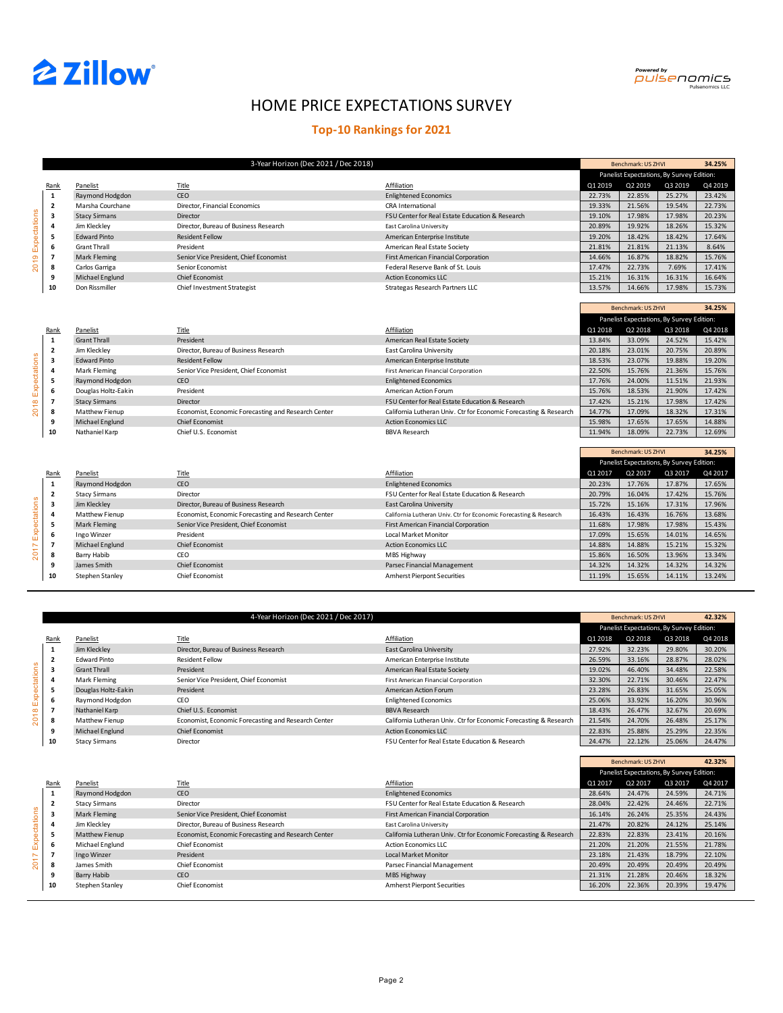

**34.25%**

**34.25%**

Benchmark: US ZHVI

Г

# HOME PRICE EXPECTATIONS SURVEY

## **Top-10 Rankings for 2021**

|               |                |                      | 3-Year Horizon (Dec 2021 / Dec 2018)   |                                                 |         | Benchmark: US ZHVI                        |         | 34.25%  |
|---------------|----------------|----------------------|----------------------------------------|-------------------------------------------------|---------|-------------------------------------------|---------|---------|
|               |                |                      |                                        |                                                 |         | Panelist Expectations, By Survey Edition: |         |         |
|               | Rank           | Panelist             | <b>Title</b>                           | Affiliation                                     | Q1 2019 | Q2 2019                                   | Q3 2019 | Q4 2019 |
|               | 1              | Raymond Hodgdon      | CEO                                    | <b>Enlightened Economics</b>                    | 22.73%  | 22.85%                                    | 25.27%  | 23.42%  |
| Expectations  | $\overline{2}$ | Marsha Courchane     | Director, Financial Economics          | <b>CRA International</b>                        | 19.33%  | 21.56%                                    | 19.54%  | 22.73%  |
|               | 3              | <b>Stacy Sirmans</b> | Director                               | FSU Center for Real Estate Education & Research | 19.10%  | 17.98%                                    | 17.98%  | 20.23%  |
|               | 4              | Jim Kleckley         | Director, Bureau of Business Research  | East Carolina University                        | 20.89%  | 19.92%                                    | 18.26%  | 15.32%  |
|               | 5              | <b>Edward Pinto</b>  | <b>Resident Fellow</b>                 | American Enterprise Institute                   | 19.20%  | 18.42%                                    | 18.42%  | 17.64%  |
|               | 6              | <b>Grant Thrall</b>  | President                              | American Real Estate Society                    | 21.81%  | 21.81%                                    | 21.13%  | 8.64%   |
| တ             | $\overline{7}$ | Mark Fleming         | Senior Vice President, Chief Economist | <b>First American Financial Corporation</b>     | 14.66%  | 16.87%                                    | 18.82%  | 15.76%  |
| $\frac{1}{2}$ | 8              | Carlos Garriga       | Senior Economist                       | Federal Reserve Bank of St. Louis               | 17.47%  | 22.73%                                    | 7.69%   | 17.41%  |
|               | 9              | Michael Englund      | <b>Chief Economist</b>                 | <b>Action Economics LLC</b>                     | 15.21%  | 16.31%                                    | 16.31%  | 16.64%  |
|               | 10             | Don Rissmiller       | Chief Investment Strategist            | Strategas Research Partners LLC                 | 13.57%  | 14.66%                                    | 17.98%  | 15.73%  |

|              |                         |                       |                                                     |                                                                   |         | Benchmark: US ZHVI                        |         | 34.25%  |
|--------------|-------------------------|-----------------------|-----------------------------------------------------|-------------------------------------------------------------------|---------|-------------------------------------------|---------|---------|
|              |                         |                       |                                                     |                                                                   |         | Panelist Expectations, By Survey Edition: |         |         |
|              | Rank                    | Panelist              | <b>Title</b>                                        | Affiliation                                                       | Q1 2018 | Q2 2018                                   | Q3 2018 | Q4 2018 |
|              | $\mathbf{1}$            | <b>Grant Thrall</b>   | President                                           | American Real Estate Society                                      | 13.84%  | 33.09%                                    | 24.52%  | 15.42%  |
|              | $\overline{\mathbf{2}}$ | Jim Kleckley          | Director, Bureau of Business Research               | East Carolina University                                          | 20.18%  | 23.01%                                    | 20.75%  | 20.89%  |
| Expectations | 3                       | <b>Edward Pinto</b>   | <b>Resident Fellow</b>                              | American Enterprise Institute                                     | 18.53%  | 23.07%                                    | 19.88%  | 19.20%  |
|              | 4                       | Mark Fleming          | Senior Vice President, Chief Economist              | First American Financial Corporation                              | 22.50%  | 15.76%                                    | 21.36%  | 15.76%  |
|              | 5                       | Raymond Hodgdon       | CEO                                                 | <b>Enlightened Economics</b>                                      | 17.76%  | 24.00%                                    | 11.51%  | 21.93%  |
|              | 6                       | Douglas Holtz-Eakin   | President                                           | American Action Forum                                             | 15.76%  | 18.53%                                    | 21.90%  | 17.42%  |
|              |                         | <b>Stacy Sirmans</b>  | Director                                            | FSU Center for Real Estate Education & Research                   | 17.42%  | 15.21%                                    | 17.98%  | 17.42%  |
| 2018         | 8                       | <b>Matthew Fienup</b> | Economist, Economic Forecasting and Research Center | California Lutheran Univ. Ctr for Economic Forecasting & Research | 14.77%  | 17.09%                                    | 18.32%  | 17.31%  |
|              | 9                       | Michael Englund       | <b>Chief Economist</b>                              | <b>Action Economics LLC</b>                                       | 15.98%  | 17.65%                                    | 17.65%  | 14.88%  |
|              | 10                      | Nathaniel Karp        | Chief U.S. Economist                                | <b>BBVA Research</b>                                              | 11.94%  | 18.09%                                    | 22.73%  | 12.69%  |

|              |      |                       |                                                     |                                                                   |         | Panelist Expectations, By Survey Edition: |         |         |
|--------------|------|-----------------------|-----------------------------------------------------|-------------------------------------------------------------------|---------|-------------------------------------------|---------|---------|
|              | Rank | Panelist              | <b>Title</b>                                        | Affiliation                                                       | Q1 2017 | Q2 2017                                   | Q3 2017 | Q4 2017 |
|              | 1    | Raymond Hodgdon       | CEO                                                 | <b>Enlightened Economics</b>                                      | 20.23%  | 17.76%                                    | 17.87%  | 17.65%  |
|              |      | <b>Stacy Sirmans</b>  | Director                                            | FSU Center for Real Estate Education & Research                   | 20.79%  | 16.04%                                    | 17.42%  | 15.76%  |
| Expectations | 3    | Jim Klecklev          | Director, Bureau of Business Research               | East Carolina University                                          | 15.72%  | 15.16%                                    | 17.31%  | 17.96%  |
|              | 4    | <b>Matthew Fienup</b> | Economist, Economic Forecasting and Research Center | California Lutheran Univ. Ctr for Economic Forecasting & Research | 16.43%  | 16.43%                                    | 16.76%  | 13.68%  |
|              | 5    | Mark Fleming          | Senior Vice President, Chief Economist              | <b>First American Financial Corporation</b>                       | 11.68%  | 17.98%                                    | 17.98%  | 15.43%  |
|              | 6    | Ingo Winzer           | President                                           | Local Market Monitor                                              | 17.09%  | 15.65%                                    | 14.01%  | 14.65%  |
| N            | 7    | Michael Englund       | <b>Chief Economist</b>                              | <b>Action Economics LLC</b>                                       | 14.88%  | 14.88%                                    | 15.21%  | 15.32%  |
| 201          | 8    | Barry Habib           | CEO                                                 | MBS Highway                                                       | 15.86%  | 16.50%                                    | 13.96%  | 13.34%  |
|              |      | James Smith           | <b>Chief Economist</b>                              | Parsec Financial Management                                       | 14.32%  | 14.32%                                    | 14.32%  | 14.32%  |
|              | 10   | Stephen Stanley       | Chief Economist                                     | <b>Amherst Pierpont Securities</b>                                | 11.19%  | 15.65%                                    | 14.11%  | 13.24%  |

|                      |                          |                                     | 4-Year Horizon (Dec 2021 / Dec 2017)                |                                                                   |         | Benchmark: US ZHVI |                                           | 42.32%  |
|----------------------|--------------------------|-------------------------------------|-----------------------------------------------------|-------------------------------------------------------------------|---------|--------------------|-------------------------------------------|---------|
|                      |                          |                                     |                                                     |                                                                   |         |                    | Panelist Expectations, By Survey Edition: |         |
|                      | Rank                     | Panelist                            | Title                                               | Affiliation                                                       | Q1 2018 | Q2 2018            | Q3 2018                                   | Q4 2018 |
|                      | 1                        | Jim Kleckley                        | Director, Bureau of Business Research               | East Carolina University                                          | 27.92%  | 32.23%             | 29.80%                                    | 30.20%  |
|                      | $\overline{\mathbf{2}}$  | <b>Edward Pinto</b>                 | <b>Resident Fellow</b>                              | American Enterprise Institute                                     | 26.59%  | 33.16%             | 28.87%                                    | 28.02%  |
|                      | 3                        | <b>Grant Thrall</b>                 | President                                           | American Real Estate Society                                      | 19.02%  | 46.40%             | 34.48%                                    | 22.58%  |
|                      | 4                        | Mark Fleming                        | Senior Vice President, Chief Economist              | First American Financial Corporation                              | 32.30%  | 22.71%             | 30.46%                                    | 22.47%  |
| Expectations<br>2018 | 5                        | Douglas Holtz-Eakin                 | President                                           | American Action Forum                                             | 23.28%  | 26.83%             | 31.65%                                    | 25.05%  |
|                      | 6                        | Raymond Hodgdon                     | CEO                                                 | <b>Enlightened Economics</b>                                      | 25.06%  | 33.92%             | 16.20%                                    | 30.96%  |
|                      | $\overline{\phantom{a}}$ | Nathaniel Karp                      | Chief U.S. Economist                                | <b>BBVA Research</b>                                              | 18.43%  | 26.47%             | 32.67%                                    | 20.69%  |
|                      | 8                        | Matthew Fienup                      | Economist, Economic Forecasting and Research Center | California Lutheran Univ. Ctr for Economic Forecasting & Research | 21.54%  | 24.70%             | 26.48%                                    | 25.17%  |
|                      | 9                        | Michael Englund                     | <b>Chief Economist</b>                              | <b>Action Economics LLC</b>                                       | 22.83%  | 25.88%             | 25.29%                                    | 22.35%  |
|                      | 10                       | <b>Stacy Sirmans</b>                | Director                                            | FSU Center for Real Estate Education & Research                   | 24.47%  | 22.12%             | 25.06%                                    | 24.47%  |
|                      |                          |                                     |                                                     |                                                                   |         |                    |                                           |         |
|                      |                          |                                     |                                                     |                                                                   |         | Benchmark: US ZHVI |                                           | 42.32%  |
|                      |                          |                                     |                                                     |                                                                   |         |                    | Panelist Expectations, By Survey Edition: |         |
|                      | Rank                     | Panelist                            | <b>Title</b>                                        | Affiliation                                                       | Q1 2017 | Q2 2017            | Q3 2017                                   | Q4 2017 |
|                      | $\mathbf{1}$             | Raymond Hodgdon                     | CEO                                                 | <b>Enlightened Economics</b>                                      | 28.64%  | 24.47%             | 24.59%                                    | 24.71%  |
|                      |                          | C <sub>tan</sub> C <sub>imanc</sub> | Director                                            | <b>ESII Conter for Peal Estate Education &amp; Pesearch</b>       | 28 04%  | 22.129             | 24.46%                                    | 22.710( |

|                                            | Rank | Panelist              | Title                                               | Affiliation                                                       | Q1 2017 | Q2 2017 | Q3 2017 | Q4 2017 |
|--------------------------------------------|------|-----------------------|-----------------------------------------------------|-------------------------------------------------------------------|---------|---------|---------|---------|
|                                            | -4   | Raymond Hodgdon       | CEO                                                 | <b>Enlightened Economics</b>                                      | 28.64%  | 24.47%  | 24.59%  | 24.71%  |
|                                            | 2    | <b>Stacy Sirmans</b>  | Director                                            | FSU Center for Real Estate Education & Research                   | 28.04%  | 22.42%  | 24.46%  | 22.71%  |
|                                            | 3    | Mark Fleming          | Senior Vice President, Chief Economist              | <b>First American Financial Corporation</b>                       | 16.14%  | 26.24%  | 25.35%  | 24.43%  |
| ctations                                   |      | Jim Kleckley          | Director, Bureau of Business Research               | East Carolina University                                          | 21.47%  | 20.82%  | 24.12%  | 25.14%  |
| $\Phi$                                     |      | <b>Matthew Fienup</b> | Economist, Economic Forecasting and Research Center | California Lutheran Univ. Ctr for Economic Forecasting & Research | 22.83%  | 22.83%  | 23.41%  | 20.16%  |
| Exp                                        | -6   | Michael Englund       | Chief Economist                                     | <b>Action Economics LLC</b>                                       | 21.20%  | 21.20%  | 21.55%  | 21.78%  |
| $\overline{\phantom{0}}$<br>$\overline{ }$ |      | Ingo Winzer           | President                                           | <b>Local Market Monitor</b>                                       | 23.18%  | 21.43%  | 18.79%  | 22.10%  |
| 8                                          | - 8  | James Smith           | Chief Economist                                     | Parsec Financial Management                                       | 20.49%  | 20.49%  | 20.49%  | 20.49%  |
|                                            |      | Barry Habib           | CEO                                                 | MBS Highway                                                       | 21.31%  | 21.28%  | 20.46%  | 18.32%  |
|                                            | 10   | Stephen Stanley       | Chief Economist                                     | <b>Amherst Pierpont Securities</b>                                | 16.20%  | 22.36%  | 20.39%  | 19.47%  |
|                                            |      |                       |                                                     |                                                                   |         |         |         |         |